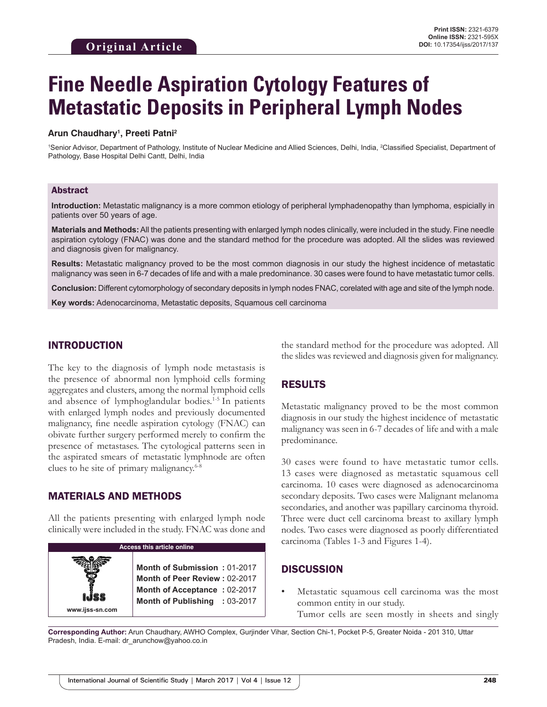# **Fine Needle Aspiration Cytology Features of Metastatic Deposits in Peripheral Lymph Nodes**

#### **Arun Chaudhary1 , Preeti Patni2**

<sup>1</sup>Senior Advisor, Department of Pathology, Institute of Nuclear Medicine and Allied Sciences, Delhi, India, <sup>2</sup>Classified Specialist, Department of Pathology, Base Hospital Delhi Cantt, Delhi, India

#### Abstract

**Introduction:** Metastatic malignancy is a more common etiology of peripheral lymphadenopathy than lymphoma, espicially in patients over 50 years of age.

**Materials and Methods:** All the patients presenting with enlarged lymph nodes clinically, were included in the study. Fine needle aspiration cytology (FNAC) was done and the standard method for the procedure was adopted. All the slides was reviewed and diagnosis given for malignancy.

**Results:** Metastatic malignancy proved to be the most common diagnosis in our study the highest incidence of metastatic malignancy was seen in 6-7 decades of life and with a male predominance. 30 cases were found to have metastatic tumor cells.

**Conclusion:** Different cytomorphology of secondary deposits in lymph nodes FNAC, corelated with age and site of the lymph node.

**Key words:** Adenocarcinoma, Metastatic deposits, Squamous cell carcinoma

#### INTRODUCTION

The key to the diagnosis of lymph node metastasis is the presence of abnormal non lymphoid cells forming aggregates and clusters, among the normal lymphoid cells and absence of lymphoglandular bodies.1-5 In patients with enlarged lymph nodes and previously documented malignancy, fine needle aspiration cytology (FNAC) can obivate further surgery performed merely to confirm the presence of metastases. The cytological patterns seen in the aspirated smears of metastatic lymphnode are often clues to he site of primary malignancy.<sup>6-8</sup>

## MATERIALS AND METHODS

**www.ijss-sn.com**

All the patients presenting with enlarged lymph node clinically were included in the study. FNAC was done and

**Access this article online**

**Month of Submission :** 01-2017 **Month of Peer Review :** 02-2017 **Month of Acceptance :** 02-2017 **Month of Publishing :** 03-2017 the standard method for the procedure was adopted. All the slides was reviewed and diagnosis given for malignancy.

# RESULTS

Metastatic malignancy proved to be the most common diagnosis in our study the highest incidence of metastatic malignancy was seen in 6-7 decades of life and with a male predominance.

30 cases were found to have metastatic tumor cells. 13 cases were diagnosed as metastatic squamous cell carcinoma. 10 cases were diagnosed as adenocarcinoma secondary deposits. Two cases were Malignant melanoma secondaries, and another was papillary carcinoma thyroid. Three were duct cell carcinoma breast to axillary lymph nodes. Two cases were diagnosed as poorly differentiated carcinoma (Tables 1-3 and Figures 1-4).

#### **DISCUSSION**

Metastatic squamous cell carcinoma was the most common entity in our study. Tumor cells are seen mostly in sheets and singly

**Corresponding Author:** Arun Chaudhary, AWHO Complex, Gurjinder Vihar, Section Chi-1, Pocket P-5, Greater Noida - 201 310, Uttar Pradesh, India. E-mail: dr\_arunchow@yahoo.co.in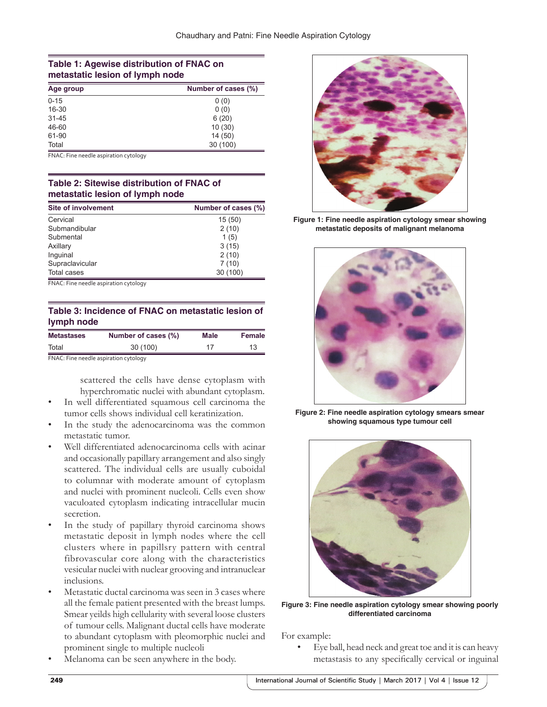#### **Table 1: Agewise distribution of FNAC on metastatic lesion of lymph node**

| Number of cases (%)<br>Age group |          |
|----------------------------------|----------|
| $0 - 15$                         | 0(0)     |
| 16-30                            | 0(0)     |
| $31 - 45$                        | 6(20)    |
| 46-60                            | 10(30)   |
| 61-90                            | 14(50)   |
| Total                            | 30 (100) |

FNAC: Fine needle aspiration cytology

## **Table 2: Sitewise distribution of FNAC of metastatic lesion of lymph node**

| <b>Site of involvement</b> | Number of cases (%) |  |  |
|----------------------------|---------------------|--|--|
| Cervical                   | 15(50)              |  |  |
| Submandibular              | 2(10)               |  |  |
| Submental                  | 1(5)                |  |  |
| Axillary                   | 3(15)               |  |  |
| Inguinal                   | 2(10)               |  |  |
| Supraclavicular            | 7(10)               |  |  |
| <b>Total cases</b>         | 30 (100)            |  |  |

FNAC: Fine needle aspiration cytology

## **Table 3: Incidence of FNAC on metastatic lesion of lymph node**

| <b>Metastases</b> | Number of cases (%)                   | Male | <b>Female</b> |
|-------------------|---------------------------------------|------|---------------|
| Total             | 30 (100)                              | 17   | 13            |
|                   | FNAC: Fine needle aspiration cytology |      |               |

scattered the cells have dense cytoplasm with

- hyperchromatic nuclei with abundant cytoplasm. In well differentiated squamous cell carcinoma the tumor cells shows individual cell keratinization.
- In the study the adenocarcinoma was the common metastatic tumor.
- Well differentiated adenocarcinoma cells with acinar and occasionally papillary arrangement and also singly scattered. The individual cells are usually cuboidal to columnar with moderate amount of cytoplasm and nuclei with prominent nucleoli. Cells even show vaculoated cytoplasm indicating intracellular mucin secretion.
- In the study of papillary thyroid carcinoma shows metastatic deposit in lymph nodes where the cell clusters where in papillsry pattern with central fibrovascular core along with the characteristics vesicular nuclei with nuclear grooving and intranuclear inclusions.
- Metastatic ductal carcinoma was seen in 3 cases where all the female patient presented with the breast lumps. Smear yeilds high cellularity with several loose clusters of tumour cells. Malignant ductal cells have moderate to abundant cytoplasm with pleomorphic nuclei and prominent single to multiple nucleoli
- Melanoma can be seen anywhere in the body.



**Figure 1: Fine needle aspiration cytology smear showing metastatic deposits of malignant melanoma**



**Figure 2: Fine needle aspiration cytology smears smear showing squamous type tumour cell**



**Figure 3: Fine needle aspiration cytology smear showing poorly differentiated carcinoma**

For example:

Eye ball, head neck and great toe and it is can heavy metastasis to any specifically cervical or inguinal